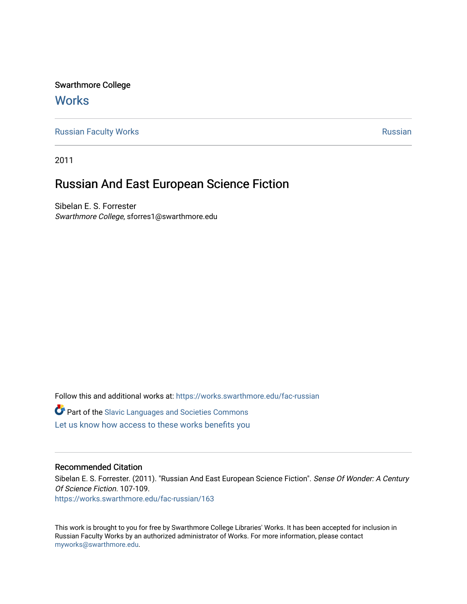Swarthmore College **Works** 

[Russian Faculty Works](https://works.swarthmore.edu/fac-russian) **Russian** [Russian](https://works.swarthmore.edu/russian) Russian Russian

2011

# Russian And East European Science Fiction

Sibelan E. S. Forrester Swarthmore College, sforres1@swarthmore.edu

Follow this and additional works at: [https://works.swarthmore.edu/fac-russian](https://works.swarthmore.edu/fac-russian?utm_source=works.swarthmore.edu%2Ffac-russian%2F163&utm_medium=PDF&utm_campaign=PDFCoverPages)  **C** Part of the Slavic Languages and Societies Commons [Let us know how access to these works benefits you](https://forms.gle/4MB8mE2GywC5965J8) 

# Recommended Citation

Sibelan E. S. Forrester. (2011). "Russian And East European Science Fiction". Sense Of Wonder: A Century Of Science Fiction. 107-109. <https://works.swarthmore.edu/fac-russian/163>

This work is brought to you for free by Swarthmore College Libraries' Works. It has been accepted for inclusion in Russian Faculty Works by an authorized administrator of Works. For more information, please contact [myworks@swarthmore.edu.](mailto:myworks@swarthmore.edu)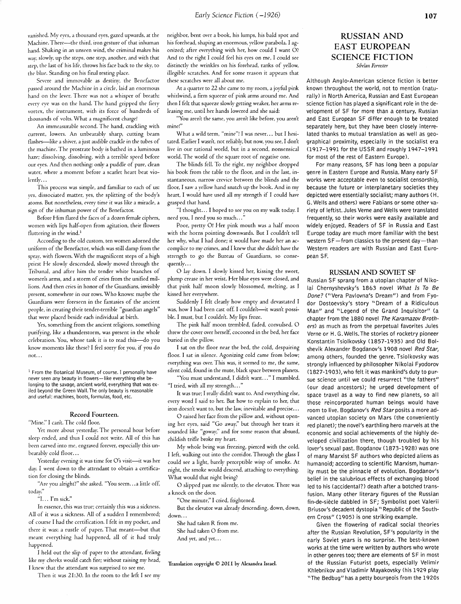### *Early Science Fiction ( -1926)*

vanished. My eyes, a thousand eyes, gazed upwards, at the Machine. There-the third, iron gesture of that inhuman hand. Shaking in an unseen wind, the criminal makes his way, slowly, up the steps, one step, another, and with that step, the last of his life, throws his face back to the *sky,* to the blue. Standing on his final resting place.

Severe and immovable as destiny, the Benefactor passed around the Machine in a circle, laid an enormous hand on the lever. There was not a whisper of breath: every eye was on the hand. The hand gripped the fiery vortex, the instrument, with its force of hundreds of thousands of volts. What a magnificent charge!

An immeasurable second. The hand, crackling with current, lowers. An unbearably sharp, cutting beam flashes-like a shiver, a just audible crackle in the tubes of the machine-. The prostrate body is bathed in a luminous haze; dissolving, dissolving, with a terrible speed before our eyrs. And then nothing: only a puddle of pure, clean water, where a moment before a scarlet heart beat violently...

This process was simple, and familiar to each of us: *yes,* dissociated matter, *yes,* the splitting of the body's atoms. But nonetheless, every time it was like a miracle, a sign of the inhuman power of the Benefactor.

Before Him flared the faces of a dozen female ciphers, women with lips half-open from agitation, their flowers fluttering in the wind.<sup>1</sup>

According to the old custom, ten women adorned the uniform of the Benefactor, which was still damp from the spray, with flowers. With the magnificent steps of a high priest He slowly descended, *slowly* moved through the Tribunal, and after him the tender white branches of women's arms, and a storm of cries from the unified millions. And then cries in honor of the Guardians, invisibly present, somewhere in our rows. Who knows: maybe the Guardians wrre foreseen **in** the fantasies of the ancient people, in creating their tender-terrible "guardian angels" that were placed beside each individual at birth.

Yes, something from the ancient religions, something purifying, like a thunderstorm, was present in the whole celebration. You, whose task it is to read this-do you know moments like these? I feel sorry for you, if you do not. ..

 $<sup>1</sup>$  From the Botanical Museum, of course. I personally have</sup> never seen any beauty in flowers-like everything else belonging to the savage, ancient world, everything that was exiled beyond the Green Wall. The only beauty is reasonable and useful: machines, boots, formulas, food, etc.

#### **Record Fourteen.**

"Mine." I can't. The cold floor.

Yet more about yesterday. The personal hour before sleep ended, and thus I could not write. All of this has been carved into me, engraved forever, especially this unbearably cold floor. ..

Yesterday evening it was time for O's visit-it was her day. I went down to the attendant to obtain a certification for closing the blinds.

"Are you alright?" she asked. "You seem... a little off, *today:'* 

"I... I'm sick."

In essence, this was true; certainly this was a sickness. All of it was a sickness. All of a sudden I remembered; of course I had the certification. I felt in my pocket, and there it was: a rustle of paper. That meant-but that meant everything had happened, all of it had truly happened.

I held out the slip of paper to the attendant, feeling like my cheeks would catch fire; without raising my head, I knew that the attendant was surprised to see me.

Then it was 21:30. In the room to the left I see my

neighbor, bent over a book, his lumps, his bald spot and his forehead, shaping an enormous, yellow parabola. I agonized; after everything with her, how could I want  $\overline{O}$ ? And to the right I could feel his eyes on me, I could see distinctly the wrinkles on his forehead, ranks of yellow, illegible scratches. And for some reason it appears that these scratches were all about me.

At a quarter to 22 she came to my room, a joyful pink whirlwind, a firm squeeze of pink arms around me. And then I felt that squeeze slowly getting weaker, her arms releasing me, until her hands lowered and she said:

 $\mathrm{``You \, aren't \,the \, same, \, you \, aren't \, like \, before, \, you \, aren't}$ mine!"

What a wild term, *"mine"!* I was never ... but I hesitated. Earlier I wasn't, not reliably, but now, you see, I don't live in our rational world, but in a second, nonsensical world. The world of the square root of negative one.

The blinds fell. To the right, my neighbor dropped his book from the table to the floor, and in the last, instantaneous, narrow crevice between the blinds and the floor, I saw a yellow hand snatch up the book. And in my heart, I would have used all my strength if I could have grasped that hand.

.<br>"I thought… I hoped to see you on my walk today. I need you, I need you so much...

Poor, pretty O! Her pink mouth was a half moon with the horns pointing downwards. But I couldn't tell her why, what I had done; it would have made her an accomplice to my crimes, and I knew that she didn't have the strength to go the Bureau of Guardians, so conse quently...

0 lay down. I slowly kissed her, kissing the sweet, plump crease in her wrist. Her blue *eyes* were closed, and that pink half moon slowly blossomed, melting, as I kissed her everywhere.

Suddenly I felt clearly how empty and devastated I was, how I had been cast off. I couldn't-it wasn't possible. I must, but I couldn't. *My* lips froze.

The pink half moon trembled, faded, convulsed. 0 threw the cover over herself, cocooned in the bed, her face buried in the pillow.

I sat on the floor near the bed, the cold, despairing floor. I sat in silence. Agonizing cold came from below; everything was over. This was, it seemed to me, the same, silent cold, found in the mute, black space between planets.

"You must understand, I didn't want..." I mumbled. "I tried, with all my strength ... "

It was true; I really didn't want to. And everything else, every word I said to her. But how to explain to her, that iron doesn't want to, but the law, inevitable and precise ...

0 raised her face from the pillow and, without opening her eyes, said "Go away;' but through her tears it sounded like "goway;' and for some reason that absurd, childish trifle broke my heart.

*My* whole being was freezing, pierced with the cold. I left, walking out into the corridor. Through the glass I could see a light, barely perceptible wisp of smoke. At night, the smoke would descend, attaching to everything. What would that night bring?

0 slipped past me silently, to the elevator. There was a knock on the door.

"One minute;' I cried, frightened.

But the elevator was already descending, down, down, down...

She had taken R from me. She had taken O from me. And *yet*, and *yet*...

Translation copyright © 2011 by Alexandra Israel.

## **RUSSIAN AND EAST EUROPEAN SCIENCE FICTION**  *Sibelan Forrester*

Although Anglo-American science fiction is better known throughout the world, not to mention (naturally) in North America, Russian and East European science fiction has played a significant role in the development of SF for more than a century. Russian and East European SF differ enough to be treated separately here, but they have been closely interrelated thanks to mutual translation as well as geographical proximity, especially in the socialist era 0917-1991 for the USSR and roughly 1947-1991 for most of the rest of Eastern Europe).

For many reasons, SF has long been a popular genre in Eastern Europe and Russia. Many early SF works were acceptable even to socialist censorship, because the future or interplanetary societies they depicted were essentially socialist; many authors ( H. G. Wells and others) were Fabians or some other variety of leftist. Jules Verne and Wells were translated frequently, so their works were easily available and widely enjoyed. Readers of SF in Russia and East Europe today are much more familiar with the best western  $SF - from$  classics to the present day-than Western readers are with Russian and East European SF.

#### **RUSSIAN AND SOVIET SF**

Russian SF sprang from a utopian chapter of Nikolai Chernyshevsky's 1863 novel What Is To Be Done? ("Vera Pavlovna's Dream") and from Fyodor Dostoevsky's story "Dream of a Ridiculous Man" and "Legend of the Grand Inquisitor" (a chapter from the 1880 novel The Karamazov Brothers) as much as from the perpetual favorites Jules Verne or H. G. Wells. The stories of rocketry pioneer Konstantin Tsiolkovsky (1857-1935) and Old Bolshevik Alexander Bogdanov's 1908 novel Red Star, among others, founded the genre. Tsiolkovsky was strongly influenced by philosopher Nikolai Fyodorov (1827-1903), who felt it was mankind's duty to pursue science until we could resurrect "the fathers" (our dead ancestors); he urged development of space travel as a way to find new planets, so all those reincorporated human beings would have room to live. Bogdanov's Red Star posits a more advanced utopian society on Mars (the conveniently red planet); the novel's earthling hero marvels at the economic and social achievements of the highly developed civilization there, though troubled by his lover's sexual past. Bogdanov (1873-1928) was one of many Marxist SF authors who depicted aliens as humanoid; according to scientific Marxism, humanity must be the pinnacle of evolution. Bogdanov's belief in the salubrious effects of exchanging blood led to his (accidental?) death after a botched transfusion. Many other literary figures of the Russian fin-de-siecle dabbled in SF; Symbolist poet Valerii Briusov's decadent dystopia" Republic of the Southern Cross" (1905) is one striking example.

Given the flowering of radical social theories after the Russian Revolution, SF's popularity in the early Soviet years is no surprise. The best-known works at the time were written by authors who wrote in other genres too; there are elements of SF in most of the Russian Futurist poets, especially Velimir Khlebnikov and Vladimir Mayakovsky (his 1929 play "The Bedbug" has a petty bourgeois from the 1920s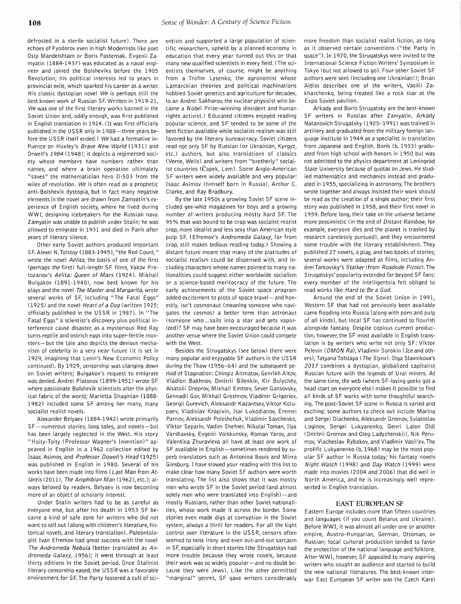defrosted in a sterile socialist future). There are echoes of Fyodorov even in high Modernists like poet Osip Mandelshtam or Boris Pasternak. Evgenii Zamyatin (1884-1937) was educated as a naval engineer and joined the Bolsheviks before the 1905 Revolution; his political interests led to years in provincial exile, which sparked his career as a writer. His classic dystopian novel We is perhaps still the best known work of Russian SF. Written in 1919-21, We was one of the first literary works banned in the Soviet Union and, oddly enough, was first published in English translation in 1924. (It was first officially published in the USSR only in 1988-three years before the USSR itself ended.) We had a formative influence on Huxley's Brave New World (1931) and Orwell's 1984 (1948); it depicts a regimented society whose members have numbers rather than names, and where a brain operation ultimately "saves" the mathematician hero D-503 from the wiles of revolution. We is often read as a prophetic anti-Bolshevik dystopia, but in fact many negative elements in the novel are drawn from Zamyatin's experience of English society, where he lived during WWI, designing icebreakers for the Russian navy. Zamyatin was unable to publish under Stalin; he was allowed to emigrate in 1931 and died in Paris after years of literary silence.

Other early Soviet authors produced important SF.Alexei N.Tolstoy (1883-1945), "the Red Count," wrote the novel Aèlita, the basis of one of the first (perhaps the first) full-length SF films, Yakov Protozanov's Aelita: Queen of Mars (1924). Mikhail Bulgakov (1891-1940), now best known for his plays and the novel The Master and Margarita, wrote several works of SF, including "The Fatal Eggs" (1925) and the novel Heart of a Dog (written 1925; officially published in the USSR in 1987). In "The Fatal Eggs" a scientist's discovery plus political interference cause disaster, as a mysterious Red Ray turns reptile and ostrich eggs into super-fertile monsters-but the tale also depicts the devious mechanism of celebrity in a very near future ( it is set in 1929, imagining that Lenin's New Economic Policy continued). By 1929, censorship was clanging down on Soviet writers; Bulgakov's request to emigrate was denied. Andrei Platonov (1899-1951) wrote SF where passionate Bolshevik scientists alter the physical fabric of the world; Marietta Shaginian (1888- 1982) included some SF among her many, many socialist realist novels.

Alexander Belyaev (1884-1942) wrote primarily SF-numerous stories, long tales, and novels-but has been largely neglected in the West. His story "Hoity-Toity (Professor Wagner's Invention)" appeared in English in a 1962 collection edited by Isaac Asimov, and Professor Dowell's Head (1925) was published in English in 1980. Several of his works have been made into films ( Last Man from Atlantis (2011 ), The Amphibian Man (1962), etc.); always beloved by readers, Belyaev is now becoming more of an object of scholarly interest.

Under Stalin writers had to be as careful as everyone else, but after his death in 1953 SF became a kind of safe zone for writers who did not want to sell out (along with children's literature, historical novels, and literary translation). Paleontologist Ivan Efremov had great success with the novel The Andromeda Nebula (better translated as Andromeda Galaxy, 1956); it went through at least thirty editions in the Soviet period. Once Stalinist literary censorship eased, the USSR was a favorable environment for SF. The Party fostered a cult of scientists and supported a large population of scientific researchers, upheld by a planned economy in education that every year turned out this or that many new qualified scientists in every field. (The scientists themselves, of course, might be anything from a Trofim Lysenko, the agronomist whose Lamarckian theories and political machinations hobbled Soviet genetics and agriculture for decades, to an Andrei Sakharov, the nuclear physicist who became a Nobel Prize-winning dissident and human rights activist.) Educated citizens enjoyed reading popular science, and SF tended to be some of the best fiction available while socialist realism was still favored by the literary bureaucracy. Soviet citizens read not only SF by Russian (or Ukrainian, Kyrgyz, etc.) authors, but also translations of classics (Verne, Wells) and writers from "brotherly" socialist countries (Capek, Lem). Some Anglo-American SF writers were widely available and very popular: Isaac Asimov (himself born in Russia), Arthur C. Clarke, and Ray Bradbury.

By the late 1950s a growing Soviet SF scene included gee-whiz magazines for boys and a growing number of writers producing mostly hard SF. The 95% that was bound to be crap was socialist realist crap, more idealist and less sexy than American style pulp SF. (Efremov's Andromeda Galaxy, far from crap, still makes tedious reading today.) Showing a distant future meant that many of the platitudes of socialist realism could be dispensed with, and including characters whose names pointed to many nationalities could suggest either worldwide socialism or a science-based meritocracy of the future. The early achievements of the Soviet space program added excitement to plots of space travel-and honestly, isn't cosmonaut (meaning someone who navigates the cosmos) a better term than astronaut (someone who ... sails into a star and gets vaporized)? SF may have been encouraged because it was another venue where the Soviet Union could compete with the West.

Besides the Strugatskys (see below) there were many popular and enjoyable SF authors in the USSR during the Thaw (1956-64) and the subsequent period of Stagnation: Chingiz Aitmatov, Genrikh Altov, Vladlen Bakhnov, Dmitrii Bilenkin, Kir Bulychëv, Anatolii Dneprov, Mikhail Emtsev, Sever Gansovsky, Gennadii Gor, Mikhail Greshnov, Vladimir Grigoriev, Georgii Gurevich, Aleksandr Kazantsev, Viktor Kolupaev, Vladislav Krapivin, Isai Lukodianov, Eremei Parnov, Aleksandr Poleshchuk, Vladimir Savchenko, Viktor Separin, Vadim Shefner, Nikolai Toman, Ilya Varshavsky, Evgenii Voiskunsky, Roman Yarov, and Valentina Zhuravleva all have at least one work of SF available in English-sometimes rendered by superb translators such as Antonina Bouis and Mirra Ginsburg. I have slowed your reading with this list to make clear how many Soviet SF authors were worth translating. The list also shows that it was mostly men who wrote SF in the Soviet period (and almost solely men who were translated into English)-and mostly Russians, rather than other Soviet nationalities, whose work made it across the border. Some stories even made digs at corruption in the Soviet system, always a thrill for readers. For all the tight control over literature in the USSR, censors often seemed to miss irony and even out-and-out sarcasm in SF, especially in short stories (the Strugatskys had more trouble because they wrote novels, because their work was so widely popular-and no doubt because they were Jews). Like the other permitted "marginal" genres, SF gave writers considerably

more freedom than socialist realist fiction, as long as it observed certain conventions ("the Party in space"). In 1970, the Strugatskys were invited to the International Science Fiction Writers' Symposium in Tokyo (but not allowed to go). Four other Soviet SF authors were sent (including one Ukrainian!); Brian Aldiss describes one of the writers, Vasilii Zakharchenko, being treated like a rock star at the Expo Soviet pavilion.

Arkady and Boris Strugatsky are the best-known SF writers in Russian after Zamyatin. Arkady Natanovich Strugatsky (1925-1991) was trained in artillery and graduated from the military foreign language institute in 1949 as a specialist in translation from Japanese and English. Boris (b. 1933) graduated from high school with honors in 1950 but was not admitted to the physics department at Leningrad State University because of quotas on Jews. He studied mathematics and mechanics instead and graduated in 1955, specializing in astronomy. The brothers wrote together and always insisted their work should be read as the creation of a single author; their first story was published in 1958, and their first novel in 1959. Before long, their take on the universe became more pessimistic (in the end of Distant Rainbow, for example, everyone dies and the planet is trashed by research carelessly pursued), and they encountered some trouble with the literary establishment. They published 27 novels, a play, and two books of stories; several works were adapted as films, including Andrei Tarkovsky's Stalker (from Roadside Picnic). The Strugatskys' popularity extended far beyond SF fans: every member of the intelligentsia felt obliged to read works like Hard to Be a God.

Around the end of the Soviet Union in 1991, Western SF that had not previously been available came flooding into Russia (along with porn and pulp of all kinds), but local SF has continued to flourish alongside fantasy. Despite copious current production, however, the SF most available in English translation is by writers who write not only SF: Viktor Pelevin (OMON Ra), Vladimir Sorokin (Ice and others), Tatyana Tolstaya (The Slynx). Olga Slavnikova's *2017* combines a dystopian, globalized capitalist Russian future with the legends of Ural miners. At the same time, the web (where SF-loving geeks got a head start on everyone else) makes it possible to find all kinds of SF works with some thoughtful searching. The post-Soviet SF scene in Russia is varied and exciting: some authors to check out include Marina and Sergei Diachenko, Aleksandr Gromov, Sviatoslav Loginov, Sergei Lukyanenko, Genri Laion Oldi <Dmitrii Gromov and Oleg Ladyzhenskii), Nik Perumov, Viacheslav Rybakov, and Vladimir Vasil'ev. The prolific Lukyanenko (b.1968) may be the most popular SF author in Russia today; his fantasy novels Night Watch (1998) and Day Watch (1999) were made into movies (2004 and 2006) that did well in North America, and he is increasingly well represented in English translation.

#### **EAST EUROPEAN SF**

Eastern Europe includes more than fifteen countries and languages (if you count Belarus and Ukraine). Before WWI, it was almost all under one or another empire, Austro-Hungarian, German, Ottoman, or Russian; local cultural production tended to favor the protection of the national language and folklore. After WWI, however, SF appealed to many aspiring writers who sought an audience and started to build the new national literatures. The best-known interwar East European SF writer was the Czech Karel